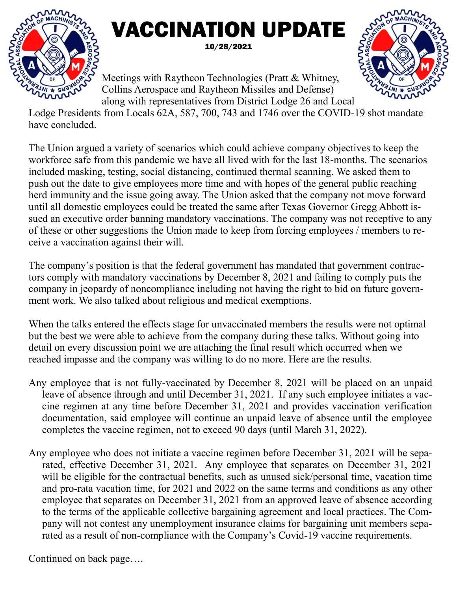

## VACCINATION UPDATE 10/28/2021

Meetings with Raytheon Technologies (Pratt & Whitney, Collins Aerospace and Raytheon Missiles and Defense) along with representatives from District Lodge 26 and Local



Lodge Presidents from Locals 62A, 587, 700, 743 and 1746 over the COVID-19 shot mandate have concluded.

The Union argued a variety of scenarios which could achieve company objectives to keep the workforce safe from this pandemic we have all lived with for the last 18-months. The scenarios included masking, testing, social distancing, continued thermal scanning. We asked them to push out the date to give employees more time and with hopes of the general public reaching herd immunity and the issue going away. The Union asked that the company not move forward until all domestic employees could be treated the same after Texas Governor Gregg Abbott issued an executive order banning mandatory vaccinations. The company was not receptive to any of these or other suggestions the Union made to keep from forcing employees / members to receive a vaccination against their will.

The company's position is that the federal government has mandated that government contractors comply with mandatory vaccinations by December 8, 2021 and failing to comply puts the company in jeopardy of noncompliance including not having the right to bid on future government work. We also talked about religious and medical exemptions.

When the talks entered the effects stage for unvaccinated members the results were not optimal but the best we were able to achieve from the company during these talks. Without going into detail on every discussion point we are attaching the final result which occurred when we reached impasse and the company was willing to do no more. Here are the results.

- Any employee that is not fully-vaccinated by December 8, 2021 will be placed on an unpaid leave of absence through and until December 31, 2021. If any such employee initiates a vaccine regimen at any time before December 31, 2021 and provides vaccination verification documentation, said employee will continue an unpaid leave of absence until the employee completes the vaccine regimen, not to exceed 90 days (until March 31, 2022).
- Any employee who does not initiate a vaccine regimen before December 31, 2021 will be separated, effective December 31, 2021. Any employee that separates on December 31, 2021 will be eligible for the contractual benefits, such as unused sick/personal time, vacation time and pro-rata vacation time, for 2021 and 2022 on the same terms and conditions as any other employee that separates on December 31, 2021 from an approved leave of absence according to the terms of the applicable collective bargaining agreement and local practices. The Company will not contest any unemployment insurance claims for bargaining unit members separated as a result of non-compliance with the Company's Covid-19 vaccine requirements.

Continued on back page….